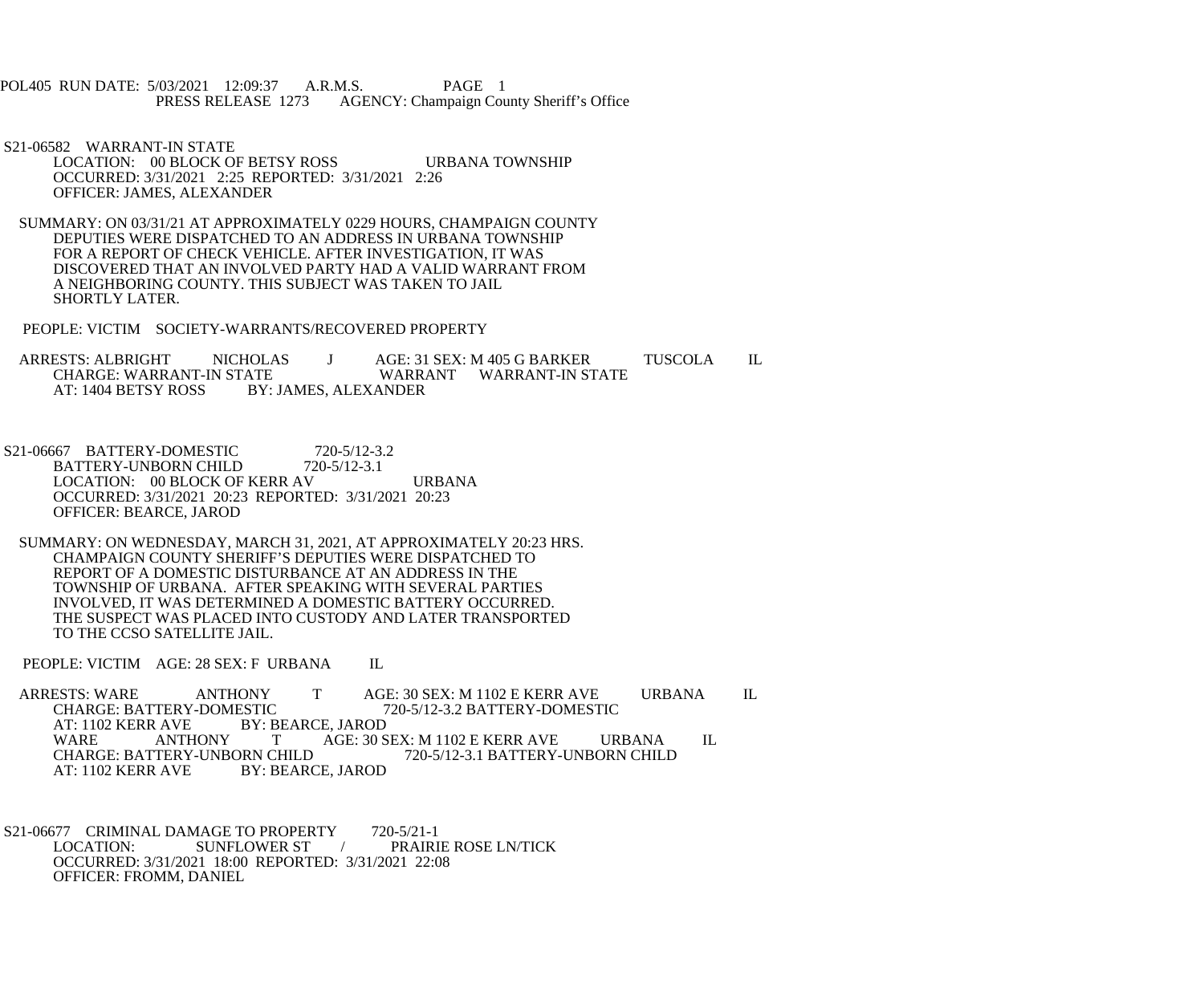POL405 RUN DATE: 5/03/2021 12:09:37 A.R.M.S. PAGE 1<br>PRESS RELEASE 1273 AGENCY: Champaign Cou AGENCY: Champaign County Sheriff's Office

 S21-06582 WARRANT-IN STATE LOCATION: 00 BLOCK OF BETSY ROSS URBANA TOWNSHIP OCCURRED: 3/31/2021 2:25 REPORTED: 3/31/2021 2:26 OFFICER: JAMES, ALEXANDER

 SUMMARY: ON 03/31/21 AT APPROXIMATELY 0229 HOURS, CHAMPAIGN COUNTY DEPUTIES WERE DISPATCHED TO AN ADDRESS IN URBANA TOWNSHIP FOR A REPORT OF CHECK VEHICLE. AFTER INVESTIGATION, IT WAS DISCOVERED THAT AN INVOLVED PARTY HAD A VALID WARRANT FROM A NEIGHBORING COUNTY. THIS SUBJECT WAS TAKEN TO JAIL SHORTLY LATER.

PEOPLE: VICTIM SOCIETY-WARRANTS/RECOVERED PROPERTY

ARRESTS: ALBRIGHT NICHOLAS J AGE: 31 SEX: M 405 G BARKER TUSCOLA IL CHARGE: WARRANT-IN STATE CHARGE: WARRANT-IN STATE WARRANT WARRANT-IN STATE<br>AT: 1404 BETSY ROSS BY: JAMES, ALEXANDER **BY: JAMES, ALEXANDER** 

S21-06667 BATTERY-DOMESTIC 720-5/12-3.2<br>BATTERY-UNBORN CHILD 720-5/12-3.1 BATTERY-UNBORN CHILD LOCATION: 00 BLOCK OF KERR AV URBANA OCCURRED: 3/31/2021 20:23 REPORTED: 3/31/2021 20:23 OFFICER: BEARCE, JAROD

 SUMMARY: ON WEDNESDAY, MARCH 31, 2021, AT APPROXIMATELY 20:23 HRS. CHAMPAIGN COUNTY SHERIFF'S DEPUTIES WERE DISPATCHED TO REPORT OF A DOMESTIC DISTURBANCE AT AN ADDRESS IN THE TOWNSHIP OF URBANA. AFTER SPEAKING WITH SEVERAL PARTIES INVOLVED, IT WAS DETERMINED A DOMESTIC BATTERY OCCURRED. THE SUSPECT WAS PLACED INTO CUSTODY AND LATER TRANSPORTED TO THE CCSO SATELLITE JAIL.

PEOPLE: VICTIM AGE: 28 SEX: F URBANA IL

ARRESTS: WARE ANTHONY T AGE: 30 SEX: M 1102 E KERR AVE URBANA IL<br>CHARGE: BATTERY-DOMESTIC 720-5/12-3.2 BATTERY-DOMESTIC CHARGE: BATTERY-DOMESTIC<br>AT: 1102 KERR AVE BY: B R AVE BY: BEARCE, JAROD<br>ANTHONY TAGE: 30 S WARE ANTHONY T AGE: 30 SEX: M 1102 E KERR AVE URBANA IL CHARGE: BATTERY-UNBORN CHILD 720-5/12-3.1 BATTERY-UNBORN CHILD CHARGE: BATTERY-UNBORN CHILD<br>AT: 1102 KERR AVE BY: BEARC BY: BEARCE, JAROD

S21-06677 CRIMINAL DAMAGE TO PROPERTY 720-5/21-1<br>LOCATION: SUNFLOWER ST / PRAIRI LOCATION: SUNFLOWER ST / PRAIRIE ROSE LN/TICK OCCURRED: 3/31/2021 18:00 REPORTED: 3/31/2021 22:08 OFFICER: FROMM, DANIEL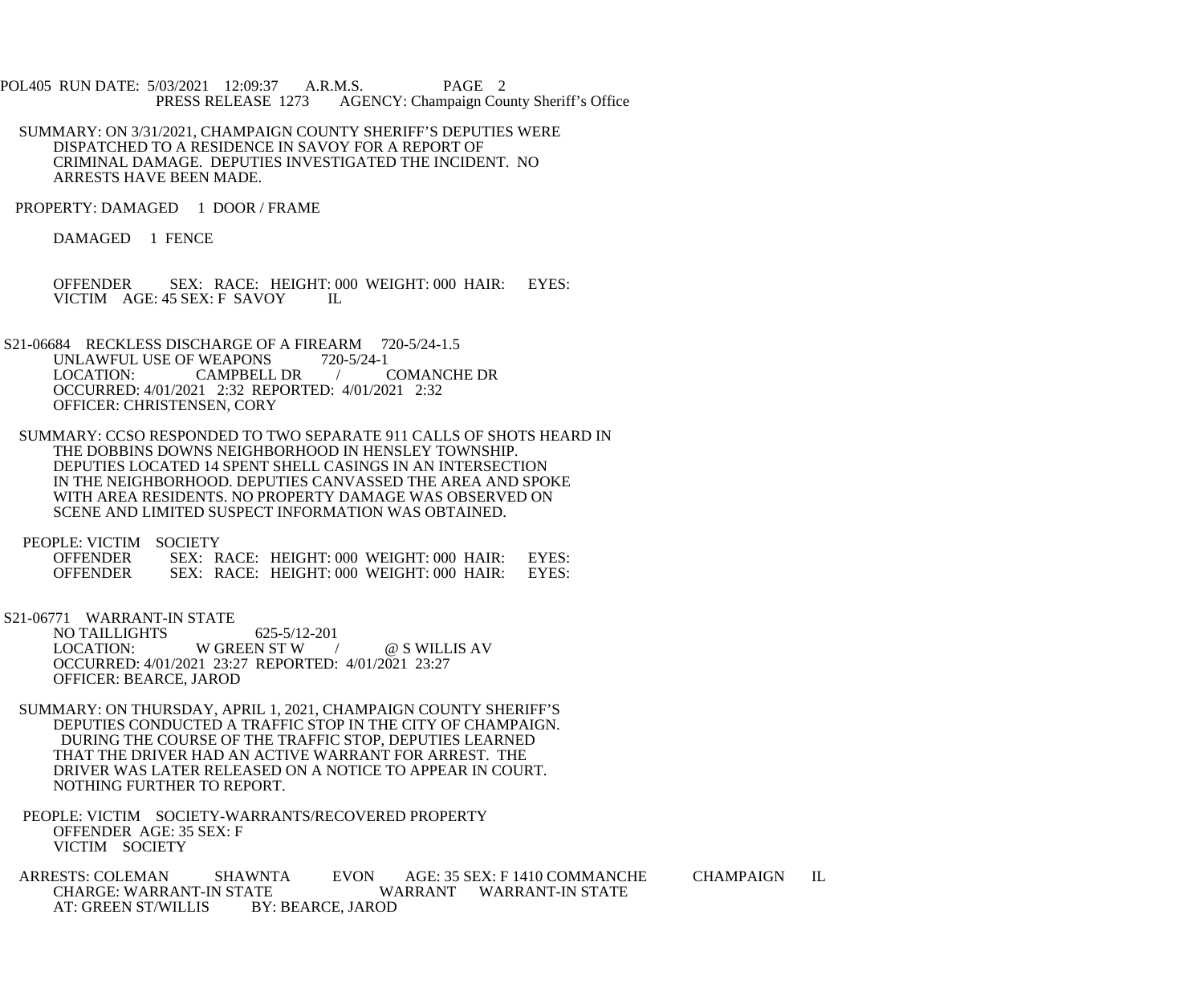- POL405 RUN DATE: 5/03/2021 12:09:37 A.R.M.S. PAGE 2<br>PRESS RELEASE 1273 AGENCY: Champaign Cou AGENCY: Champaign County Sheriff's Office
- SUMMARY: ON 3/31/2021, CHAMPAIGN COUNTY SHERIFF'S DEPUTIES WERE DISPATCHED TO A RESIDENCE IN SAVOY FOR A REPORT OF CRIMINAL DAMAGE. DEPUTIES INVESTIGATED THE INCIDENT. NO ARRESTS HAVE BEEN MADE.
- PROPERTY: DAMAGED 1 DOOR / FRAME

DAMAGED 1 FENCE

OFFENDER SEX: RACE: HEIGHT: 000 WEIGHT: 000 HAIR: EYES: VICTIM AGE: 45 SEX: F SAVOY VICTIM AGE: 45 SEX: F SAVOY

- S21-06684 RECKLESS DISCHARGE OF A FIREARM 720-5/24-1.5<br>UNLAWFUL USE OF WEAPONS 720-5/24-1 UNLAWFUL USE OF WEAPONS 720-5/24-1<br>LOCATION: CAMPBELL DR / COMANCHE DR CAMPBELL DR / OCCURRED: 4/01/2021 2:32 REPORTED: 4/01/2021 2:32 OFFICER: CHRISTENSEN, CORY
- SUMMARY: CCSO RESPONDED TO TWO SEPARATE 911 CALLS OF SHOTS HEARD IN THE DOBBINS DOWNS NEIGHBORHOOD IN HENSLEY TOWNSHIP. DEPUTIES LOCATED 14 SPENT SHELL CASINGS IN AN INTERSECTION IN THE NEIGHBORHOOD. DEPUTIES CANVASSED THE AREA AND SPOKE WITH AREA RESIDENTS. NO PROPERTY DAMAGE WAS OBSERVED ON SCENE AND LIMITED SUSPECT INFORMATION WAS OBTAINED.

PEOPLE: VICTIM SOCIETY

| <b>OFFENDER</b> |  | SEX: RACE: HEIGHT: 000 WEIGHT: 000 HAIR: | EYES: |
|-----------------|--|------------------------------------------|-------|
| <b>OFFENDER</b> |  | SEX: RACE: HEIGHT: 000 WEIGHT: 000 HAIR: | EYES: |

S21-06771 WARRANT-IN STATE

NO TAILLIGHTS 625-5/12-201<br>LOCATION: W GREEN ST W W GREEN ST W / @ S WILLIS AV OCCURRED: 4/01/2021 23:27 REPORTED: 4/01/2021 23:27 OFFICER: BEARCE, JAROD

- SUMMARY: ON THURSDAY, APRIL 1, 2021, CHAMPAIGN COUNTY SHERIFF'S DEPUTIES CONDUCTED A TRAFFIC STOP IN THE CITY OF CHAMPAIGN. DURING THE COURSE OF THE TRAFFIC STOP, DEPUTIES LEARNED THAT THE DRIVER HAD AN ACTIVE WARRANT FOR ARREST. THE DRIVER WAS LATER RELEASED ON A NOTICE TO APPEAR IN COURT. NOTHING FURTHER TO REPORT.
- PEOPLE: VICTIM SOCIETY-WARRANTS/RECOVERED PROPERTY OFFENDER AGE: 35 SEX: F VICTIM SOCIETY
- ARRESTS: COLEMAN SHAWNTA EVON AGE: 35 SEX: F 1410 COMMANCHE CHAMPAIGN IL CHARGE: WARRANT-IN STATE WARRANT WARRANT-IN STATE ATE WARRANT WARRANT-IN STATE<br>BY: BEARCE. JAROD AT: GREEN ST/WILLIS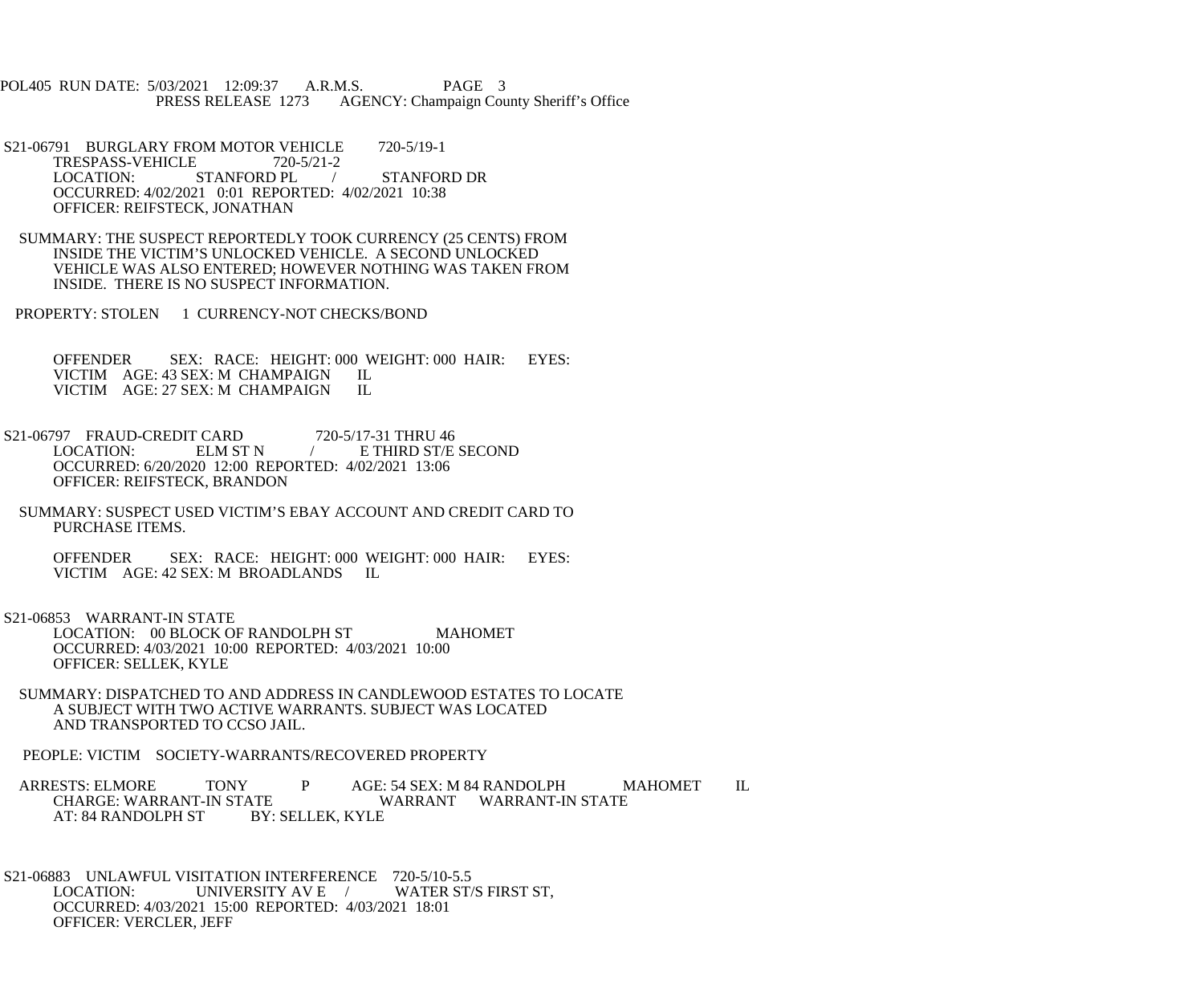POL405 RUN DATE: 5/03/2021 12:09:37 A.R.M.S. PAGE 3<br>PRESS RELEASE 1273 AGENCY: Champaign Cou AGENCY: Champaign County Sheriff's Office

S21-06791 BURGLARY FROM MOTOR VEHICLE 720-5/19-1<br>TRESPASS-VEHICLE 720-5/21-2 TRESPASS-VEHICLE<br>LOCATION: STANFORD PL / STANFORD DR OCCURRED: 4/02/2021 0:01 REPORTED: 4/02/2021 10:38 OFFICER: REIFSTECK, JONATHAN

- SUMMARY: THE SUSPECT REPORTEDLY TOOK CURRENCY (25 CENTS) FROM INSIDE THE VICTIM'S UNLOCKED VEHICLE. A SECOND UNLOCKED VEHICLE WAS ALSO ENTERED; HOWEVER NOTHING WAS TAKEN FROM INSIDE. THERE IS NO SUSPECT INFORMATION.
- PROPERTY: STOLEN 1 CURRENCY-NOT CHECKS/BOND

OFFENDER SEX: RACE: HEIGHT: 000 WEIGHT: 000 HAIR: EYES: VICTIM AGE: 43 SEX: M CHAMPAIGN IL VICTIM AGE: 43 SEX: M CHAMPAIGN IL<br>VICTIM AGE: 27 SEX: M CHAMPAIGN IL VICTIM AGE: 27 SEX: M CHAMPAIGN

- S21-06797 FRAUD-CREDIT CARD 720-5/17-31 THRU 46<br>LOCATION: ELM ST N / E THIRD ST/E LOCATION: ELM ST N / E THIRD ST/E SECOND OCCURRED: 6/20/2020 12:00 REPORTED: 4/02/2021 13:06 OFFICER: REIFSTECK, BRANDON
	- SUMMARY: SUSPECT USED VICTIM'S EBAY ACCOUNT AND CREDIT CARD TO PURCHASE ITEMS.

 OFFENDER SEX: RACE: HEIGHT: 000 WEIGHT: 000 HAIR: EYES: VICTIM AGE: 42 SEX: M BROADLANDS IL

S21-06853 WARRANT-IN STATE

LOCATION: 00 BLOCK OF RANDOLPH ST MAHOMET OCCURRED: 4/03/2021 10:00 REPORTED: 4/03/2021 10:00 OFFICER: SELLEK, KYLE

 SUMMARY: DISPATCHED TO AND ADDRESS IN CANDLEWOOD ESTATES TO LOCATE A SUBJECT WITH TWO ACTIVE WARRANTS. SUBJECT WAS LOCATED AND TRANSPORTED TO CCSO JAIL.

PEOPLE: VICTIM SOCIETY-WARRANTS/RECOVERED PROPERTY

ARRESTS: ELMORE TONY P AGE: 54 SEX: M 84 RANDOLPH MAHOMET IL CHARGE: WARRANT-IN STATE ATE WARRANT WARRANT-IN STATE<br>BY: SELLEK. KYLE AT: 84 RANDOLPH ST

S21-06883 UNLAWFUL VISITATION INTERFERENCE 720-5/10-5.5<br>LOCATION: UNIVERSITY AV E / WATER ST/S FIRST ST, UNIVERSITY AV E / OCCURRED: 4/03/2021 15:00 REPORTED: 4/03/2021 18:01 OFFICER: VERCLER, JEFF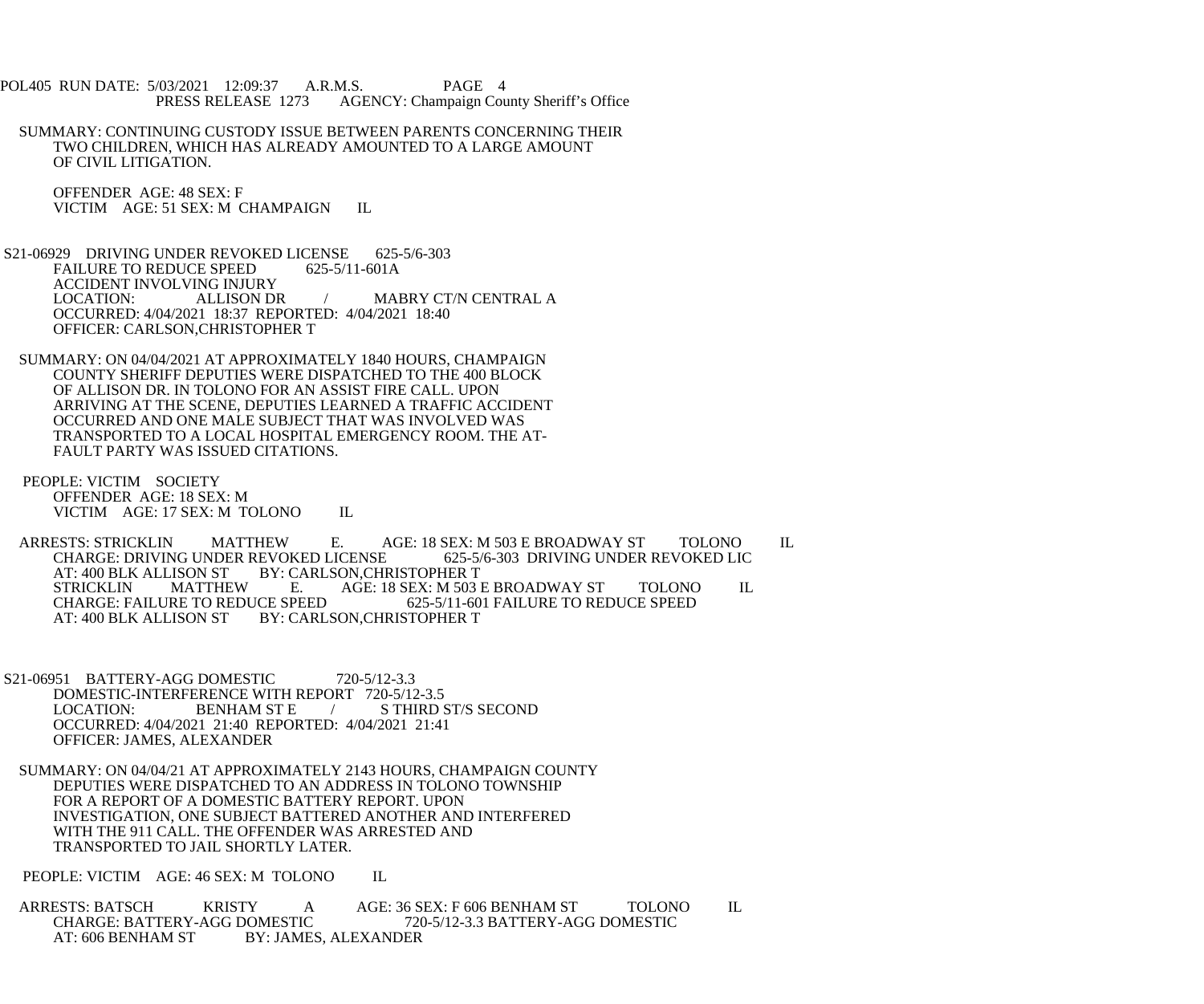POL405 RUN DATE: 5/03/2021 12:09:37 A.R.M.S. PAGE 4 PRESS RELEASE 1273 AGENCY: Champaign County Sheriff's Office

 SUMMARY: CONTINUING CUSTODY ISSUE BETWEEN PARENTS CONCERNING THEIR TWO CHILDREN, WHICH HAS ALREADY AMOUNTED TO A LARGE AMOUNT OF CIVIL LITIGATION.

 OFFENDER AGE: 48 SEX: F VICTIM AGE: 51 SEX: M CHAMPAIGN IL

 S21-06929 DRIVING UNDER REVOKED LICENSE 625-5/6-303 FAILURE TO REDUCE SPEED 625-5/11-601A ACCIDENT INVOLVING INJURY<br>LOCATION: ALLISON DR / MABRY CT/N CENTRAL A OCCURRED: 4/04/2021 18:37 REPORTED: 4/04/2021 18:40 OFFICER: CARLSON,CHRISTOPHER T

- SUMMARY: ON 04/04/2021 AT APPROXIMATELY 1840 HOURS, CHAMPAIGN COUNTY SHERIFF DEPUTIES WERE DISPATCHED TO THE 400 BLOCK OF ALLISON DR. IN TOLONO FOR AN ASSIST FIRE CALL. UPON ARRIVING AT THE SCENE, DEPUTIES LEARNED A TRAFFIC ACCIDENT OCCURRED AND ONE MALE SUBJECT THAT WAS INVOLVED WAS TRANSPORTED TO A LOCAL HOSPITAL EMERGENCY ROOM. THE AT- FAULT PARTY WAS ISSUED CITATIONS.
- PEOPLE: VICTIM SOCIETY OFFENDER AGE: 18 SEX: M VICTIM AGE: 17 SEX: M TOLONO IL

ARRESTS: STRICKLIN MATTHEW E. AGE: 18 SEX: M 503 E BROADWAY ST TOLONO IL<br>CHARGE: DRIVING UNDER REVOKED LICENSE 625-5/6-303 DRIVING UNDER REVOKED LIC CHARGE: DRIVING UNDER REVOKED LICENSE<br>AT: 400 BLK ALLISON ST BY: CARLSON.CHR LISON ST BY: CARLSON,CHRISTOPHER T<br>MATTHEW E. AGE: 18 SEX: M 503 STRICKLIN MATTHEW E. AGE: 18 SEX: M 503 E BROADWAY ST TOLONO IL<br>CHARGE: FAILURE TO REDUCE SPEED 625-5/11-601 FAILURE TO REDUCE SPEED CHARGE: FAILURE TO REDUCE SPEED 625-5/11-601 FAILURE TO REDUCE SPEED AT: 400 BLK ALLISON ST BY: CARLSON, CHRISTOPHER T

 S21-06951 BATTERY-AGG DOMESTIC 720-5/12-3.3 DOMESTIC-INTERFERENCE WITH REPORT 720-5/12-3.5<br>LOCATION: BENHAM ST E / STHIRD : / STHIRD ST/S SECOND OCCURRED: 4/04/2021 21:40 REPORTED: 4/04/2021 21:41 OFFICER: JAMES, ALEXANDER

 SUMMARY: ON 04/04/21 AT APPROXIMATELY 2143 HOURS, CHAMPAIGN COUNTY DEPUTIES WERE DISPATCHED TO AN ADDRESS IN TOLONO TOWNSHIP FOR A REPORT OF A DOMESTIC BATTERY REPORT. UPON INVESTIGATION, ONE SUBJECT BATTERED ANOTHER AND INTERFERED WITH THE 911 CALL. THE OFFENDER WAS ARRESTED AND TRANSPORTED TO JAIL SHORTLY LATER.

PEOPLE: VICTIM AGE: 46 SEX: M TOLONO IL

ARRESTS: BATSCH KRISTY A AGE: 36 SEX: F 606 BENHAM ST TOLONO IL<br>CHARGE: BATTERY-AGG DOMESTIC 720-5/12-3.3 BATTERY-AGG DOMESTIC CHARGE: BATTERY-AGG DOMESTIC 720-5/12-3.3 BATTERY-AGG DOMESTIC AT: 606 BENHAM ST BY: JAMES, ALEXANDER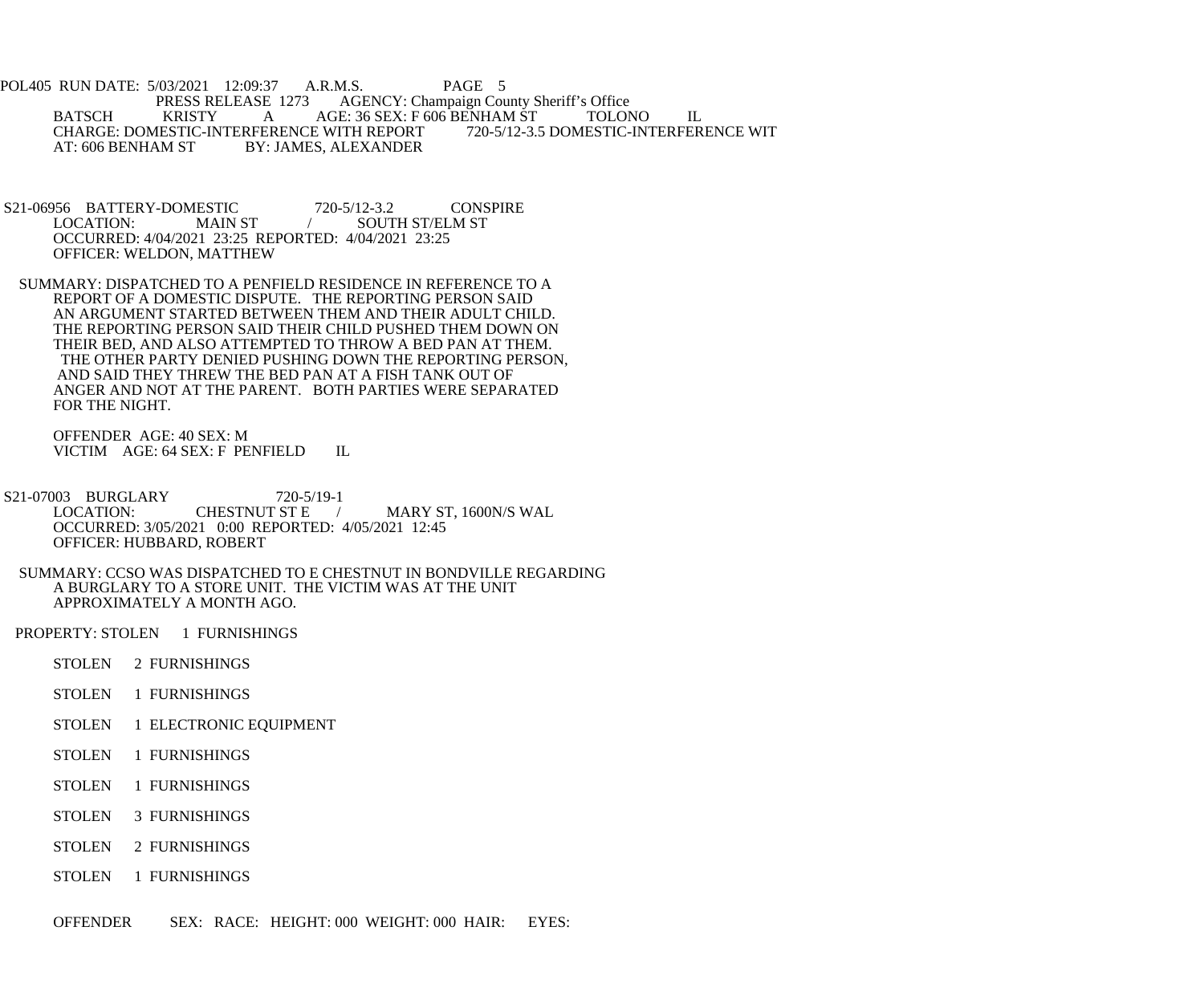- POL405 RUN DATE: 5/03/2021 12:09:37 A.R.M.S. PAGE 5 PRESS RELEASE 1273 AGENCY: Champaign County Sheriff's Office<br>BATSCH KRISTY A AGE: 36 SEX: F 606 BENHAM ST TOLOR KRISTY A AGE: 36 SEX: F 606 BENHAM ST TOLONO IL<br>ESTIC-INTERFERENCE WITH REPORT 720-5/12-3.5 DOMESTIC-INTERFERENCE WIT CHARGE: DOMESTIC-INTERFERENCE WITH REPORT<br>AT: 606 BENHAM ST BY: JAMES. ALEXANDER BY: JAMES, ALEXANDER
- S21-06956 BATTERY-DOMESTIC 720-5/12-3.2 CONSPIRE<br>LOCATION: MAIN ST / SOUTH ST/ELM ST / SOUTH ST/ELM ST OCCURRED: 4/04/2021 23:25 REPORTED: 4/04/2021 23:25 OFFICER: WELDON, MATTHEW
- SUMMARY: DISPATCHED TO A PENFIELD RESIDENCE IN REFERENCE TO A REPORT OF A DOMESTIC DISPUTE. THE REPORTING PERSON SAID AN ARGUMENT STARTED BETWEEN THEM AND THEIR ADULT CHILD. THE REPORTING PERSON SAID THEIR CHILD PUSHED THEM DOWN ON THEIR BED, AND ALSO ATTEMPTED TO THROW A BED PAN AT THEM. THE OTHER PARTY DENIED PUSHING DOWN THE REPORTING PERSON, AND SAID THEY THREW THE BED PAN AT A FISH TANK OUT OF ANGER AND NOT AT THE PARENT. BOTH PARTIES WERE SEPARATED FOR THE NIGHT.

 OFFENDER AGE: 40 SEX: M VICTIM AGE: 64 SEX: F PENFIELD IL

- S21-07003 BURGLARY 720-5/19-1<br>LOCATION: CHESTNUT ST E LOCATION: CHESTNUT ST E / MARY ST, 1600N/S WAL OCCURRED: 3/05/2021 0:00 REPORTED: 4/05/2021 12:45 OFFICER: HUBBARD, ROBERT
- SUMMARY: CCSO WAS DISPATCHED TO E CHESTNUT IN BONDVILLE REGARDING A BURGLARY TO A STORE UNIT. THE VICTIM WAS AT THE UNIT APPROXIMATELY A MONTH AGO.
- PROPERTY: STOLEN 1 FURNISHINGS
	- STOLEN 2 FURNISHINGS
	- STOLEN 1 FURNISHINGS
	- STOLEN 1 ELECTRONIC EQUIPMENT
	- STOLEN 1 FURNISHINGS
	- STOLEN 1 FURNISHINGS
	- STOLEN 3 FURNISHINGS
	- STOLEN 2 FURNISHINGS
	- STOLEN 1 FURNISHINGS

OFFENDER SEX: RACE: HEIGHT: 000 WEIGHT: 000 HAIR: EYES: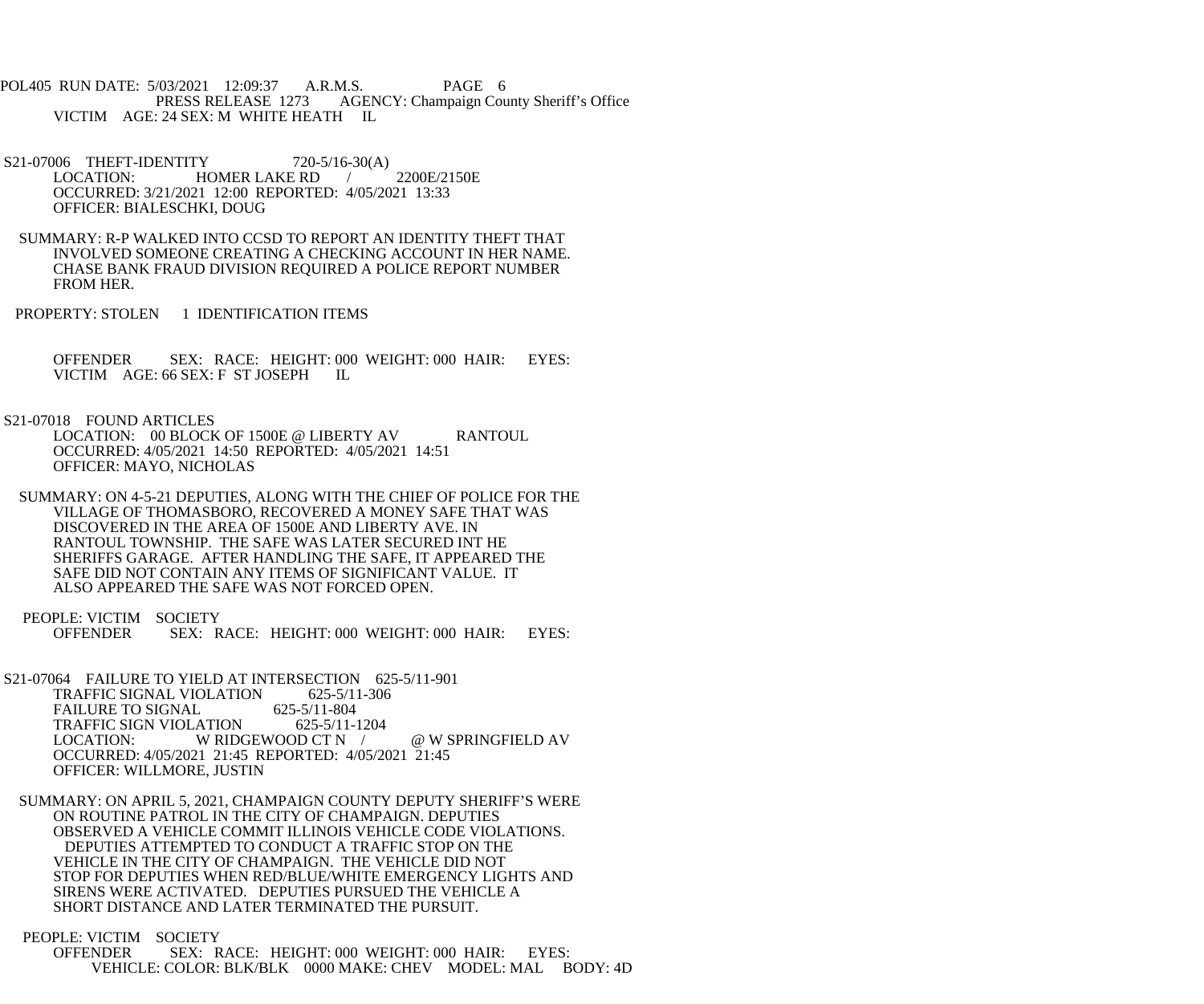POL405 RUN DATE: 5/03/2021 12:09:37 A.R.M.S. PAGE 6<br>PRESS RELEASE 1273 AGENCY: Champaign Cou AGENCY: Champaign County Sheriff's Office VICTIM AGE: 24 SEX: M WHITE HEATH IL

S21-07006 THEFT-IDENTITY 720-5/16-30(A) LOCATION: HOMER LAKE RD / 2200E/2150E OCCURRED: 3/21/2021 12:00 REPORTED: 4/05/2021 13:33 OFFICER: BIALESCHKI, DOUG

 SUMMARY: R-P WALKED INTO CCSD TO REPORT AN IDENTITY THEFT THAT INVOLVED SOMEONE CREATING A CHECKING ACCOUNT IN HER NAME. CHASE BANK FRAUD DIVISION REQUIRED A POLICE REPORT NUMBER FROM HER.

PROPERTY: STOLEN 1 IDENTIFICATION ITEMS

 OFFENDER SEX: RACE: HEIGHT: 000 WEIGHT: 000 HAIR: EYES: VICTIM AGE: 66 SEX: F ST JOSEPH IL

S21-07018 FOUND ARTICLES

LOCATION: 00 BLOCK OF 1500E @ LIBERTY AV RANTOUL OCCURRED: 4/05/2021 14:50 REPORTED: 4/05/2021 14:51 OFFICER: MAYO, NICHOLAS

 SUMMARY: ON 4-5-21 DEPUTIES, ALONG WITH THE CHIEF OF POLICE FOR THE VILLAGE OF THOMASBORO, RECOVERED A MONEY SAFE THAT WAS DISCOVERED IN THE AREA OF 1500E AND LIBERTY AVE. IN RANTOUL TOWNSHIP. THE SAFE WAS LATER SECURED INT HE SHERIFFS GARAGE. AFTER HANDLING THE SAFE, IT APPEARED THE SAFE DID NOT CONTAIN ANY ITEMS OF SIGNIFICANT VALUE. IT ALSO APPEARED THE SAFE WAS NOT FORCED OPEN.

PEOPLE: VICTIM SOCIETY<br>OFFENDER SEX: R SEX: RACE: HEIGHT: 000 WEIGHT: 000 HAIR: EYES:

 S21-07064 FAILURE TO YIELD AT INTERSECTION 625-5/11-901 TRAFFIC SIGNAL VIOLATION 625-5/11-306<br>FAILURE TO SIGNAL 625-5/11-804 FAILURE TO SIGNAL 625-5/11-804<br>TRAFFIC SIGN VIOLATION 625-5/11-1204 TRAFFIC SIGN VIOLATION<br>LOCATION: WRIDO W RIDGEWOOD CT N / @ W SPRINGFIELD AV OCCURRED: 4/05/2021 21:45 REPORTED: 4/05/2021 21:45 OFFICER: WILLMORE, JUSTIN

 SUMMARY: ON APRIL 5, 2021, CHAMPAIGN COUNTY DEPUTY SHERIFF'S WERE ON ROUTINE PATROL IN THE CITY OF CHAMPAIGN. DEPUTIES OBSERVED A VEHICLE COMMIT ILLINOIS VEHICLE CODE VIOLATIONS. DEPUTIES ATTEMPTED TO CONDUCT A TRAFFIC STOP ON THE VEHICLE IN THE CITY OF CHAMPAIGN. THE VEHICLE DID NOT STOP FOR DEPUTIES WHEN RED/BLUE/WHITE EMERGENCY LIGHTS AND SIRENS WERE ACTIVATED. DEPUTIES PURSUED THE VEHICLE A SHORT DISTANCE AND LATER TERMINATED THE PURSUIT.

 PEOPLE: VICTIM SOCIETY OFFENDER SEX: RACE: HEIGHT: 000 WEIGHT: 000 HAIR: EYES: VEHICLE: COLOR: BLK/BLK 0000 MAKE: CHEV MODEL: MAL BODY: 4D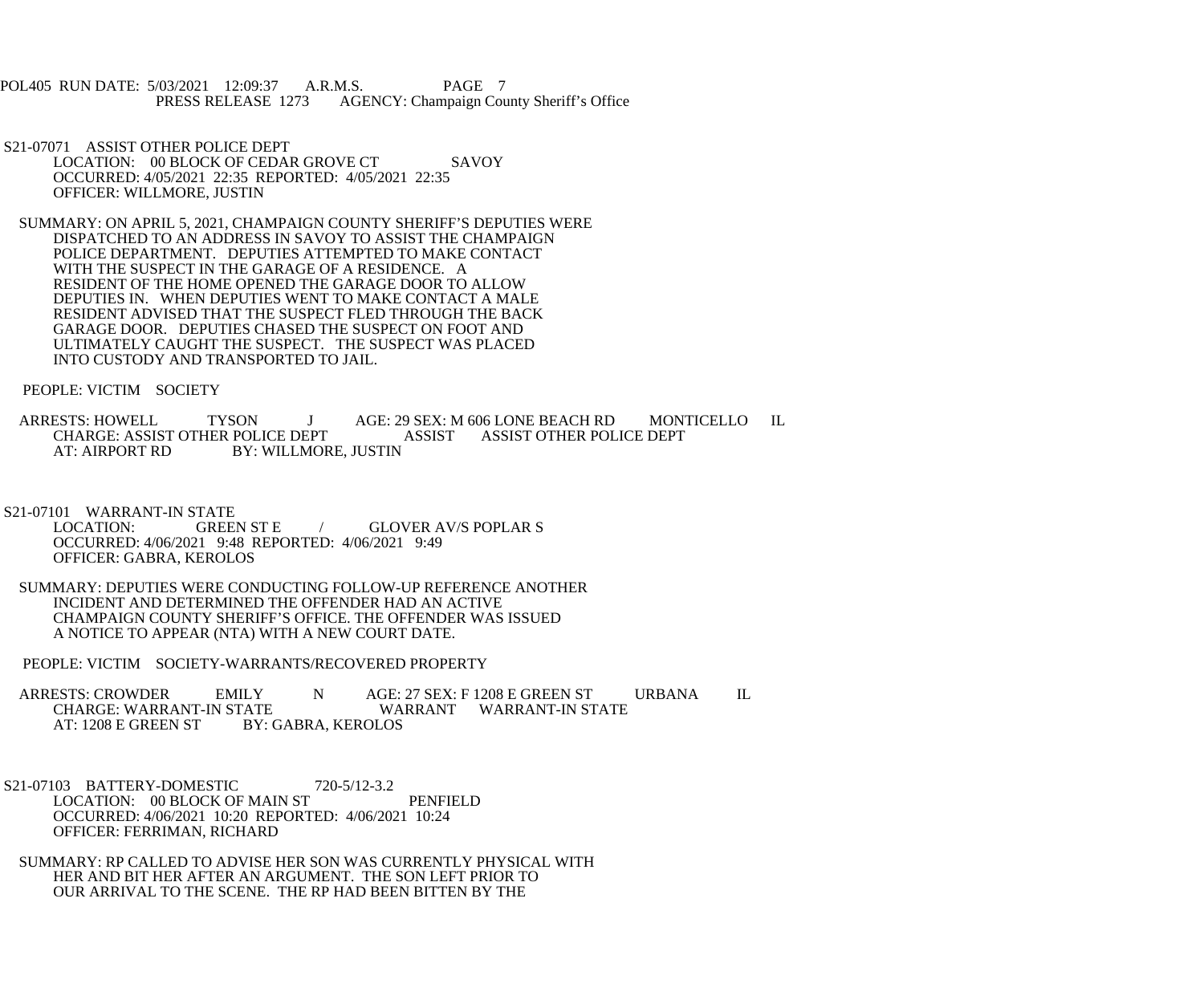POL405 RUN DATE: 5/03/2021 12:09:37 A.R.M.S. PAGE 7<br>PRESS RELEASE 1273 AGENCY: Champaign Cou AGENCY: Champaign County Sheriff's Office

- S21-07071 ASSIST OTHER POLICE DEPT LOCATION: 00 BLOCK OF CEDAR GROVE CT SAVOY OCCURRED: 4/05/2021 22:35 REPORTED: 4/05/2021 22:35 OFFICER: WILLMORE, JUSTIN
- SUMMARY: ON APRIL 5, 2021, CHAMPAIGN COUNTY SHERIFF'S DEPUTIES WERE DISPATCHED TO AN ADDRESS IN SAVOY TO ASSIST THE CHAMPAIGN POLICE DEPARTMENT. DEPUTIES ATTEMPTED TO MAKE CONTACT WITH THE SUSPECT IN THE GARAGE OF A RESIDENCE. A RESIDENT OF THE HOME OPENED THE GARAGE DOOR TO ALLOW DEPUTIES IN. WHEN DEPUTIES WENT TO MAKE CONTACT A MALE RESIDENT ADVISED THAT THE SUSPECT FLED THROUGH THE BACK GARAGE DOOR. DEPUTIES CHASED THE SUSPECT ON FOOT AND ULTIMATELY CAUGHT THE SUSPECT. THE SUSPECT WAS PLACED INTO CUSTODY AND TRANSPORTED TO JAIL.

PEOPLE: VICTIM SOCIETY

 ARRESTS: HOWELL TYSON J AGE: 29 SEX: M 606 LONE BEACH RD MONTICELLO IL CHARGE: ASSIST OTHER POLICE DEPT ASSIST ASSIST OTHER POLICE DEPT AT: AIRPORT RD BY: WILLMORE, JUSTIN BY: WILLMORE, JUSTIN

S21-07101 WARRANT-IN STATE<br>LOCATION: GREE GREEN ST E / GLOVER AV/S POPLAR S OCCURRED: 4/06/2021 9:48 REPORTED: 4/06/2021 9:49 OFFICER: GABRA, KEROLOS

 SUMMARY: DEPUTIES WERE CONDUCTING FOLLOW-UP REFERENCE ANOTHER INCIDENT AND DETERMINED THE OFFENDER HAD AN ACTIVE CHAMPAIGN COUNTY SHERIFF'S OFFICE. THE OFFENDER WAS ISSUED A NOTICE TO APPEAR (NTA) WITH A NEW COURT DATE.

PEOPLE: VICTIM SOCIETY-WARRANTS/RECOVERED PROPERTY

ARRESTS: CROWDER EMILY N AGE: 27 SEX: F 1208 E GREEN ST URBANA IL CHARGE: WARRANT-IN STATE CHARGE: WARRANT-IN STATE WARRANT WARRANT-IN STATE<br>AT: 1208 E GREEN ST BY: GABRA, KEROLOS BY: GABRA, KEROLOS

- S21-07103 BATTERY-DOMESTIC 720-5/12-3.2 LOCATION: 00 BLOCK OF MAIN ST PENFIELD OCCURRED: 4/06/2021 10:20 REPORTED: 4/06/2021 10:24 OFFICER: FERRIMAN, RICHARD
- SUMMARY: RP CALLED TO ADVISE HER SON WAS CURRENTLY PHYSICAL WITH HER AND BIT HER AFTER AN ARGUMENT. THE SON LEFT PRIOR TO OUR ARRIVAL TO THE SCENE. THE RP HAD BEEN BITTEN BY THE